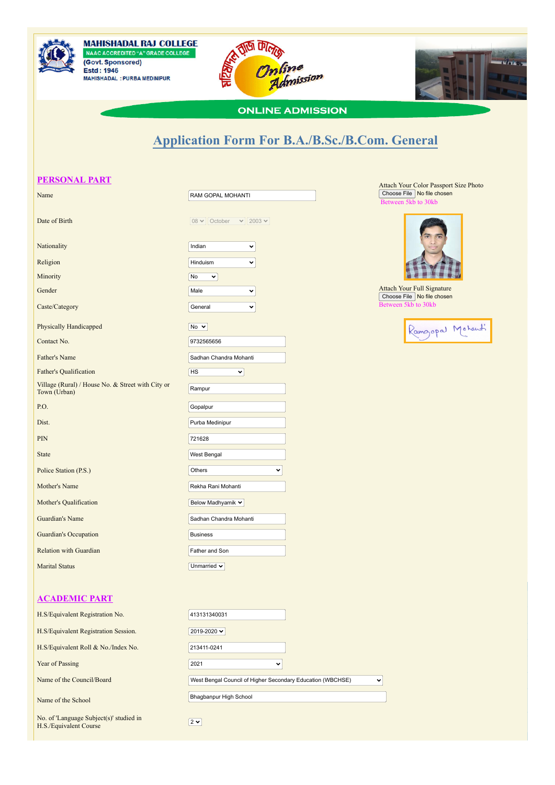

**MAHISHADAL RAJ COLLEGE<br>NAAC ACCREDITED "A" GRADE COLLEGE<br>(Govt. Sponsored) Estd: 1946** MAHISHADAL: PURBA MEDINIPUR





## **ONLINE ADMISSION**

## **Application Form For B.A./B.Sc./B.Com. General**

| <b>PERSONAL PART</b>                                              |                                                            | Attach Your Color Passport Size Photo                             |
|-------------------------------------------------------------------|------------------------------------------------------------|-------------------------------------------------------------------|
| Name                                                              | RAM GOPAL MOHANTI                                          | Choose File   No file chosen<br>Between 5kb to 30kb               |
| Date of Birth                                                     | $08 \vee$ October<br>$\vee$ 2003 $\vee$                    |                                                                   |
| Nationality                                                       | Indian<br>$\checkmark$                                     |                                                                   |
| Religion                                                          | Hinduism<br>$\checkmark$                                   |                                                                   |
| Minority                                                          | No<br>$\checkmark$                                         |                                                                   |
| Gender                                                            | Male<br>$\checkmark$                                       | <b>Attach Your Full Signature</b><br>Choose File   No file chosen |
| Caste/Category                                                    | General<br>$\checkmark$                                    | Between 5kb to 30kb                                               |
| Physically Handicapped                                            | No $\sim$                                                  | Rangopal Motanti                                                  |
| Contact No.                                                       | 9732565656                                                 |                                                                   |
| Father's Name                                                     | Sadhan Chandra Mohanti                                     |                                                                   |
| <b>Father's Qualification</b>                                     | HS<br>$\checkmark$                                         |                                                                   |
| Village (Rural) / House No. & Street with City or<br>Town (Urban) | Rampur                                                     |                                                                   |
| P.O.                                                              | Gopalpur                                                   |                                                                   |
| Dist.                                                             | Purba Medinipur                                            |                                                                   |
| PIN                                                               | 721628                                                     |                                                                   |
| <b>State</b>                                                      | West Bengal                                                |                                                                   |
| Police Station (P.S.)                                             | Others<br>v                                                |                                                                   |
| Mother's Name                                                     | Rekha Rani Mohanti                                         |                                                                   |
|                                                                   |                                                            |                                                                   |
| Mother's Qualification                                            | Below Madhyamik v                                          |                                                                   |
| Guardian's Name                                                   | Sadhan Chandra Mohanti                                     |                                                                   |
| <b>Guardian's Occupation</b>                                      | <b>Business</b>                                            |                                                                   |
| <b>Relation with Guardian</b>                                     | Father and Son                                             |                                                                   |
| <b>Marital Status</b>                                             | Unmarried $\blacktriangleright$                            |                                                                   |
|                                                                   |                                                            |                                                                   |
| <b>ACADEMIC PART</b>                                              |                                                            |                                                                   |
| H.S/Equivalent Registration No.                                   | 413131340031                                               |                                                                   |
| H.S/Equivalent Registration Session.                              | 2019-2020 $\sim$                                           |                                                                   |
| H.S/Equivalent Roll & No./Index No.                               | 213411-0241                                                |                                                                   |
| Year of Passing                                                   | 2021<br>v                                                  |                                                                   |
| Name of the Council/Board                                         | West Bengal Council of Higher Secondary Education (WBCHSE) | v                                                                 |
| Name of the School                                                | Bhagbanpur High School                                     |                                                                   |